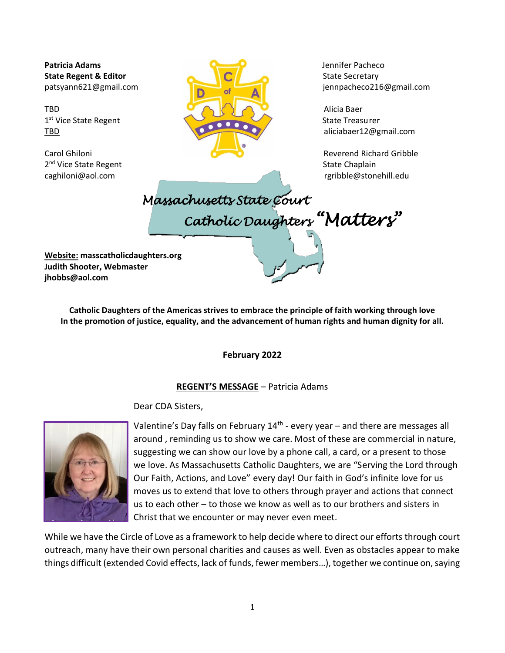2<sup>nd</sup> Vice State Regent **State Chaplain** 2<sup>nd</sup> Vice State Chaplain



patsyann621@gmail.com jennpacheco216@gmail.com

[caghiloni@aol.com](mailto:caghiloni@aol.com) [rgribble@stonehill.edu](mailto:rgribble@stonehill.edu)

 *Massachusetts State Court Catholic Daughters "Matters"* 

**Website: masscatholicdaughters.org Judith Shooter, Webmaster jhobbs@aol.com**

> **Catholic Daughters of the Americas strives to embrace the principle of faith working through love In the promotion of justice, equality, and the advancement of human rights and human dignity for all.**

> > **February 2022**

#### **REGENT'S MESSAGE** – Patricia Adams

Dear CDA Sisters,



Valentine's Day falls on February 14<sup>th</sup> - every year – and there are messages all around , reminding us to show we care. Most of these are commercial in nature, suggesting we can show our love by a phone call, a card, or a present to those we love. As Massachusetts Catholic Daughters, we are "Serving the Lord through Our Faith, Actions, and Love" every day! Our faith in God's infinite love for us moves us to extend that love to others through prayer and actions that connect us to each other – to those we know as well as to our brothers and sisters in Christ that we encounter or may never even meet.

While we have the Circle of Love as a framework to help decide where to direct our efforts through court outreach, many have their own personal charities and causes as well. Even as obstacles appear to make things difficult (extended Covid effects, lack of funds, fewer members…), together we continue on, saying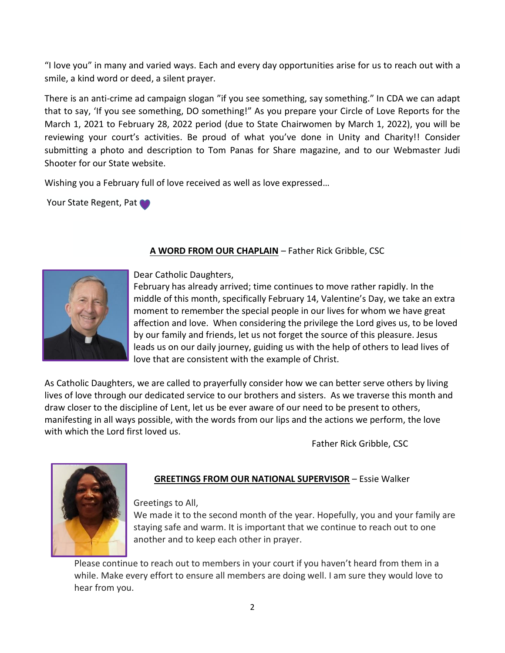"I love you" in many and varied ways. Each and every day opportunities arise for us to reach out with a smile, a kind word or deed, a silent prayer.

There is an anti-crime ad campaign slogan "if you see something, say something." In CDA we can adapt that to say, 'If you see something, DO something!" As you prepare your Circle of Love Reports for the March 1, 2021 to February 28, 2022 period (due to State Chairwomen by March 1, 2022), you will be reviewing your court's activities. Be proud of what you've done in Unity and Charity!! Consider submitting a photo and description to Tom Panas for Share magazine, and to our Webmaster Judi Shooter for our State website.

Wishing you a February full of love received as well as love expressed…

Your State Regent, Pat



## **A WORD FROM OUR CHAPLAIN** – Father Rick Gribble, CSC

Dear Catholic Daughters,

February has already arrived; time continues to move rather rapidly. In the middle of this month, specifically February 14, Valentine's Day, we take an extra moment to remember the special people in our lives for whom we have great affection and love. When considering the privilege the Lord gives us, to be loved by our family and friends, let us not forget the source of this pleasure. Jesus leads us on our daily journey, guiding us with the help of others to lead lives of love that are consistent with the example of Christ.

As Catholic Daughters, we are called to prayerfully consider how we can better serve others by living lives of love through our dedicated service to our brothers and sisters. As we traverse this month and draw closer to the discipline of Lent, let us be ever aware of our need to be present to others, manifesting in all ways possible, with the words from our lips and the actions we perform, the love with which the Lord first loved us.

Father Rick Gribble, CSC



# **GREETINGS FROM OUR NATIONAL SUPERVISOR** – Essie Walker

Greetings to All,

We made it to the second month of the year. Hopefully, you and your family are staying safe and warm. It is important that we continue to reach out to one another and to keep each other in prayer.

Please continue to reach out to members in your court if you haven't heard from them in a while. Make every effort to ensure all members are doing well. I am sure they would love to hear from you.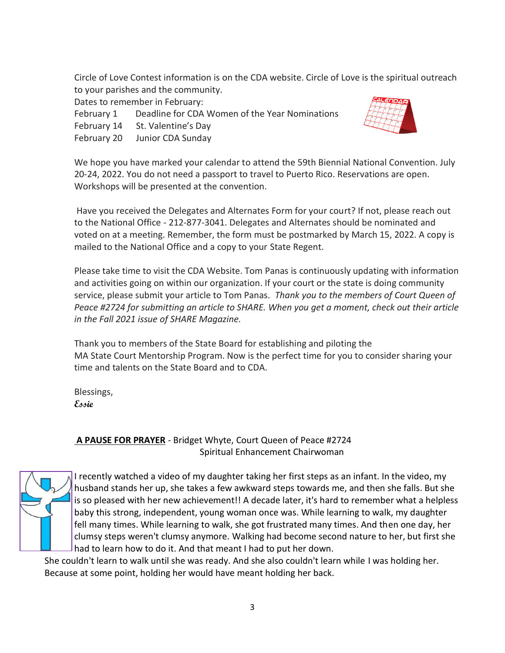Circle of Love Contest information is on the CDA website. Circle of Love is the spiritual outreach to your parishes and the community.

Dates to remember in February:

February 1 Deadline for CDA Women of the Year Nominations

February 14 St. Valentine's Day

February 20 Junior CDA Sunday



We hope you have marked your calendar to attend the 59th Biennial National Convention. July 20-24, 2022. You do not need a passport to travel to Puerto Rico. Reservation[s are o](https://creativecommons.org/licenses/by/3.0/)pen. Workshops will be presented at the convention.

Have you received the Delegates and Alternates Form for your court? If not, please reach out to the National Office - 212-877-3041. Delegates and Alternates should be nominated and voted on at a meeting. Remember, the form must be postmarked by March 15, 2022. A copy is mailed to the National Office and a copy to your State Regent.

Please take time to visit the CDA Website. Tom Panas is continuously updating with information and activities going on within our organization. If your court or the state is doing community service, please submit your article to Tom Panas. *Thank you to the members of Court Queen of Peace #2724 for submitting an article to SHARE. When you get a moment, check out their article in the Fall 2021 issue of SHARE Magazine.* 

Thank you to members of the State Board for establishing and piloting the MA State Court Mentorship Program. Now is the perfect time for you to consider sharing your time and talents on the State Board and to CDA.

Blessings, **Essie**

## **A PAUSE FOR PRAYER** - Bridget Whyte, Court Queen of Peace #2724 Spiritual Enhancement Chairwoman



I recently watched a video of my daughter taking her first steps as an infant. In the video, my husband stands her up, she takes a few awkward steps towards me, and then she falls. But she is so pleased with her new achievement!! A decade later, it's hard to remember what a helpless baby this strong, independent, young woman once was. While learning to walk, my daughter fell many times. While learning to walk, she got frustrated many times. And then one day, her clumsy steps weren't clumsy anymore. Walking had become second nature to her, but first she had to learn how to do it. And that meant I had to put her down.

She couldn't learn to walk until she was ready. And she also couldn't learn while I was holding her. Because at some point, holding her would have meant holding her back.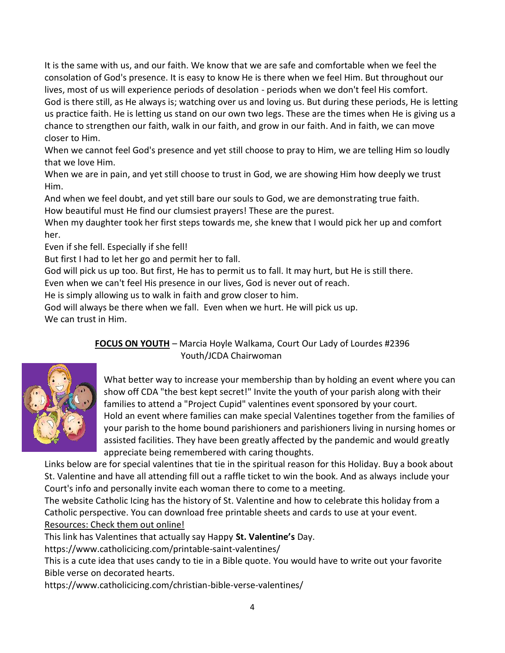It is the same with us, and our faith. We know that we are safe and comfortable when we feel the consolation of God's presence. It is easy to know He is there when we feel Him. But throughout our lives, most of us will experience periods of desolation - periods when we don't feel His comfort. God is there still, as He always is; watching over us and loving us. But during these periods, He is letting us practice faith. He is letting us stand on our own two legs. These are the times when He is giving us a chance to strengthen our faith, walk in our faith, and grow in our faith. And in faith, we can move closer to Him.

When we cannot feel God's presence and yet still choose to pray to Him, we are telling Him so loudly that we love Him.

When we are in pain, and yet still choose to trust in God, we are showing Him how deeply we trust Him.

And when we feel doubt, and yet still bare our souls to God, we are demonstrating true faith. How beautiful must He find our clumsiest prayers! These are the purest.

When my daughter took her first steps towards me, she knew that I would pick her up and comfort her.

Even if she fell. Especially if she fell!

But first I had to let her go and permit her to fall.

God will pick us up too. But first, He has to permit us to fall. It may hurt, but He is still there.

Even when we can't feel His presence in our lives, God is never out of reach.

He is simply allowing us to walk in faith and grow closer to him.

God will always be there when we fall. Even when we hurt. He will pick us up.

We can trust in Him.

## **FOCUS ON YOUTH** – Marcia Hoyle Walkama, Court Our Lady of Lourdes #2396 Youth/JCDA Chairwoman



What better way to increase your membership than by holding an event where you can show off CDA "the best kept secret!" Invite the youth of your parish along with their families to attend a "Project Cupid" valentines event sponsored by your court. Hold an event where families can make special Valentines together from the families of your parish to the home bound parishioners and parishioners living in nursing homes or assisted facilities. They have been greatly affected by the pandemic and would greatly appreciate being remembered with caring thoughts.

Links below are for special valentines that tie in the spiritual reason for this Holiday. Buy a book about St. Val[entine](https://creativecommons.org/licenses/by-nc/3.0/) and have all attending fill out a raffle ticket to win the book. And as always include your [C](https://creativecommons.org/licenses/by-nc/3.0/)ourt's info and personally invite each woman there to come to a meeting.

The website Catholic Icing has the history of St. Valentine and how to celebrate this holiday from a Catholic perspective. You can download free printable sheets and cards to use at your event. Resources: Check them out online!

This link has Valentines that actually say Happy **St. Valentine's** Day.

https://www.catholicicing.com/printable-saint-valentines/

This is a cute idea that uses candy to tie in a Bible quote. You would have to write out your favorite Bible verse on decorated hearts.

<https://www.catholicicing.com/christian-bible-verse-valentines/>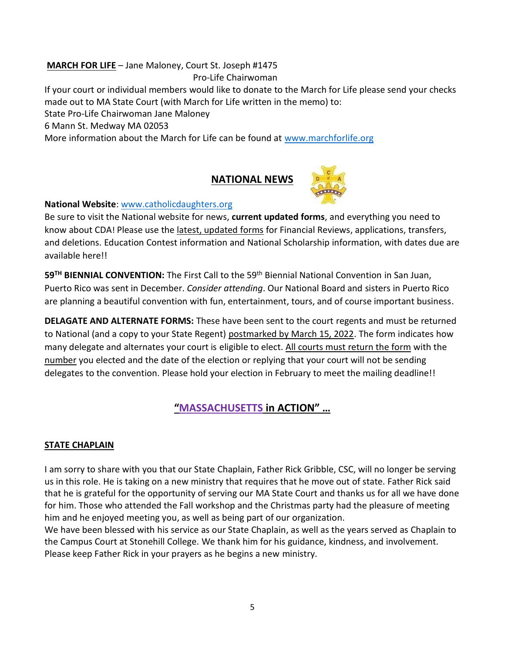# **MARCH FOR LIFE** – Jane Maloney, Court St. Joseph #1475

Pro-Life Chairwoman

If your court or individual members would like to donate to the March for Life please send your checks made out to MA State Court (with March for Life written in the memo) to:

State Pro-Life Chairwoman Jane Maloney

6 Mann St. Medway MA 02053

More information about the March for Life can be found at [www.marchforlife.org](http://www.marchforlife.org/)

# **NATIONAL NEWS**



### **National Website**[: www.catholicdaughters.org](http://www.catholicdaughters.org/)

Be sure to visit the National website for news, **current updated forms**, and everything you need to know about CDA! Please use the latest, updated forms for Financial Reviews, applications, transfers, and deletions. Education Contest information and National Scholarship information, with dates due are available here!!

**59TH BIENNIAL CONVENTION:** The First Call to the 59th Biennial National Convention in San Juan, Puerto Rico was sent in December. *Consider attending*. Our National Board and sisters in Puerto Rico are planning a beautiful convention with fun, entertainment, tours, and of course important business.

**DELAGATE AND ALTERNATE FORMS:** These have been sent to the court regents and must be returned to National (and a copy to your State Regent) postmarked by March 15, 2022. The form indicates how many delegate and alternates your court is eligible to elect. All courts must return the form with the number you elected and the date of the election or replying that your court will not be sending delegates to the convention. Please hold your election in February to meet the mailing deadline!!

## **"MASSACHUSETTS in ACTION" …**

### **STATE CHAPLAIN**

I am sorry to share with you that our State Chaplain, Father Rick Gribble, CSC, will no longer be serving us in this role. He is taking on a new ministry that requires that he move out of state. Father Rick said that he is grateful for the opportunity of serving our MA State Court and thanks us for all we have done for him. Those who attended the Fall workshop and the Christmas party had the pleasure of meeting him and he enjoyed meeting you, as well as being part of our organization.

We have been blessed with his service as our State Chaplain, as well as the years served as Chaplain to the Campus Court at Stonehill College. We thank him for his guidance, kindness, and involvement. Please keep Father Rick in your prayers as he begins a new ministry.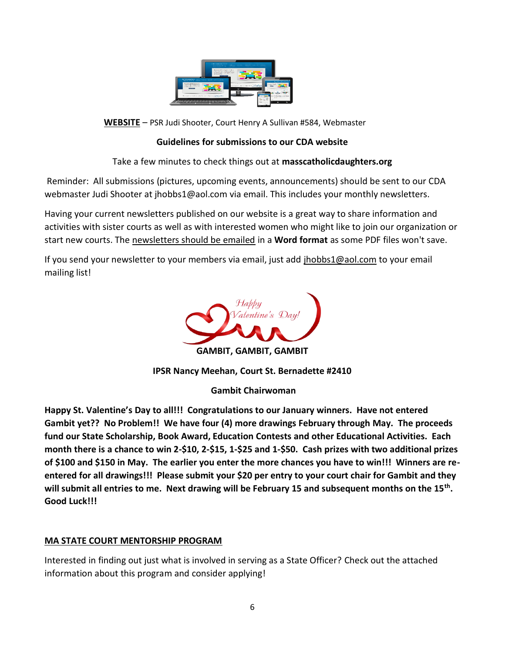

**WEBSITE** – PSR Ju[di Shooter](http://www.pngall.com/website-png), [Court Hen](https://creativecommons.org/licenses/by-nc/3.0/)ry A Sullivan #584, Webmaster

## **Guidelines for submissions to our CDA website**

Take a few minutes to check things out at **masscatholicdaughters.org**

Reminder: All submissions (pictures, upcoming events, announcements) should be sent to our CDA webmaster Judi Shooter at jhobbs1@aol.com via email. This includes your monthly newsletters.

Having your current newsletters published on our website is a great way to share information and activities with sister courts as well as with interested women who might like to join our organization or start new courts. The newsletters should be emailed in a **Word format** as some PDF files won't save.

If you send your newsletter to your members via email, just add [jhobbs1@aol.com](mailto:jhobbs1@aol.com) to your email mailing list!



**IPSR Nancy Meehan, Court St. Bernadette #2410**

**Gambit Chairwoman**

**Happy St. Valentine's Day to all!!! Congratulations to our January winners. Have not entered Gambit yet?? No Problem!! We have four (4) more drawings February through May. The proceeds fund our State Scholarship, Book Award, Education Contests and other Educational Activities. Each month there is a chance to win 2-\$10, 2-\$15, 1-\$25 and 1-\$50. Cash prizes with two additional prizes of \$100 and \$150 in May. The earlier you enter the more chances you have to win!!! Winners are reentered for all drawings!!! Please submit your \$20 per entry to your court chair for Gambit and they will submit all entries to me. Next drawing will be February 15 and subsequent months on the 15th . Good Luck!!!** 

## **MA STATE COURT MENTORSHIP PROGRAM**

Interested in finding out just what is involved in serving as a State Officer? Check out the attached information about this program and consider applying!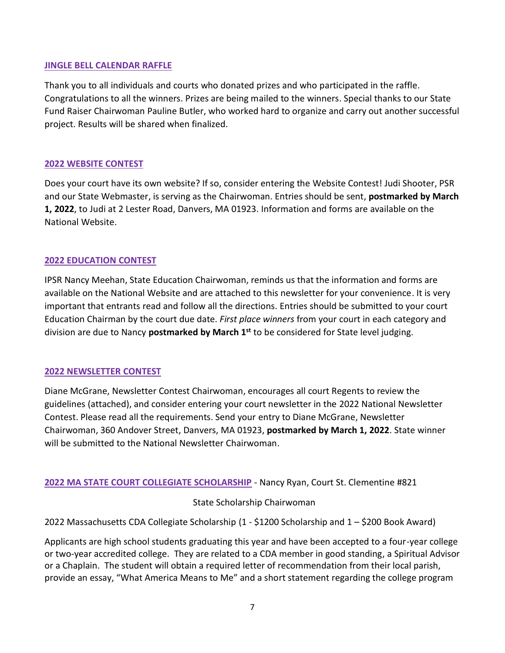#### **JINGLE BELL CALENDAR RAFFLE**

Thank you to all individuals and courts who donated prizes and who participated in the raffle. Congratulations to all the winners. Prizes are being mailed to the winners. Special thanks to our State Fund Raiser Chairwoman Pauline Butler, who worked hard to organize and carry out another successful project. Results will be shared when finalized.

#### **2022 WEBSITE CONTEST**

Does your court have its own website? If so, consider entering the Website Contest! Judi Shooter, PSR and our State Webmaster, is serving as the Chairwoman. Entries should be sent, **postmarked by March 1, 2022**, to Judi at 2 Lester Road, Danvers, MA 01923. Information and forms are available on the National Website.

#### **2022 EDUCATION CONTEST**

IPSR Nancy Meehan, State Education Chairwoman, reminds us that the information and forms are available on the National Website and are attached to this newsletter for your convenience. It is very important that entrants read and follow all the directions. Entries should be submitted to your court Education Chairman by the court due date. *First place winners* from your court in each category and division are due to Nancy **postmarked by March 1st** to be considered for State level judging.

#### **2022 NEWSLETTER CONTEST**

Diane McGrane, Newsletter Contest Chairwoman, encourages all court Regents to review the guidelines (attached), and consider entering your court newsletter in the 2022 National Newsletter Contest. Please read all the requirements. Send your entry to Diane McGrane, Newsletter Chairwoman, 360 Andover Street, Danvers, MA 01923, **postmarked by March 1, 2022**. State winner will be submitted to the National Newsletter Chairwoman.

#### **2022 MA STATE COURT COLLEGIATE SCHOLARSHIP** - Nancy Ryan, Court St. Clementine #821

#### State Scholarship Chairwoman

2022 Massachusetts CDA Collegiate Scholarship (1 - \$1200 Scholarship and 1 – \$200 Book Award)

Applicants are high school students graduating this year and have been accepted to a four-year college or two-year accredited college. They are related to a CDA member in good standing, a Spiritual Advisor or a Chaplain. The student will obtain a required letter of recommendation from their local parish, provide an essay, "What America Means to Me" and a short statement regarding the college program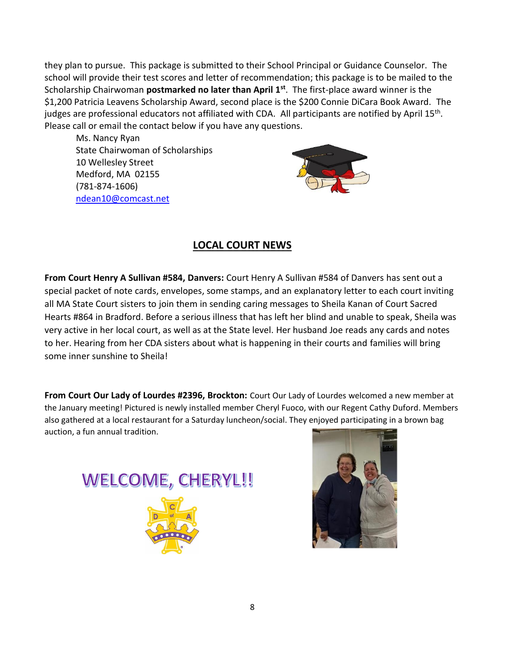they plan to pursue. This package is submitted to their School Principal or Guidance Counselor. The school will provide their test scores and letter of recommendation; this package is to be mailed to the Scholarship Chairwoman **postmarked no later than April 1st** . The first-place award winner is the \$1,200 Patricia Leavens Scholarship Award, second place is the \$200 Connie DiCara Book Award. The judges are professional educators not affiliated with CDA. All participants are notified by April 15<sup>th</sup>. Please call or email the contact below if you have any questions.

 Ms. Nancy Ryan State Chairwoman of Scholarships 10 Wellesley Street Medford, MA 02155 (781-874-1606) [ndean10@comcast.net](mailto:ndean10@comcast.net)



# **LOCAL COURT NEWS**

**From Court Henry A Sullivan #584, Danvers:** Court Henry A Sullivan #584 of Danvers has sent out a special packet of note cards, envelopes, some stamps, and an explanatory letter to each court inviting all MA State Court sisters to join them in sending caring messages to Sheila Kanan of Court Sacred Hearts #864 in Bradford. Before a serious illness that has left her blind and unable to speak, Sheila was very active in her local court, as well as at the State level. Her husband Joe reads any cards and notes to her. Hearing from her CDA sisters about what is happening in their courts and families will bring some inner sunshine to Sheila!

**From Court Our Lady of Lourdes #2396, Brockton:** Court Our Lady of Lourdes welcomed a new member at the January meeting! Pictured is newly installed member Cheryl Fuoco, with our Regent Cathy Duford. Members also gathered at a local restaurant for a Saturday luncheon/social. They enjoyed participating in a brown bag auction, a fun annual tradition.



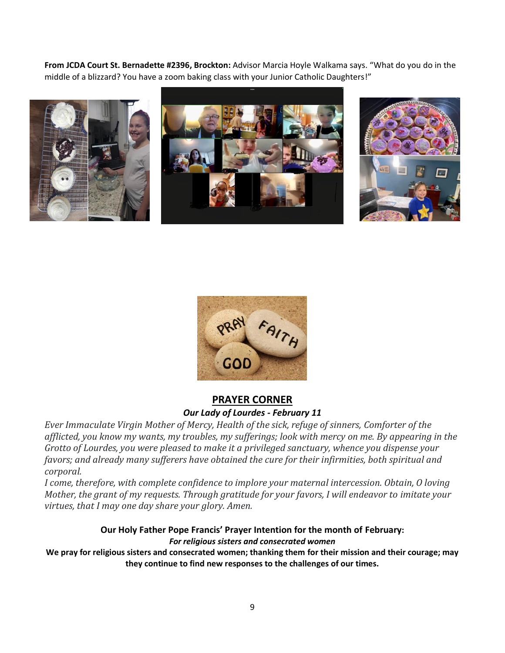**From JCDA Court St. Bernadette #2396, Brockton:** Advisor Marcia Hoyle Walkama says. "What do you do in the middle of a blizzard? You have a zoom baking class with your Junior Catholic Daughters!"





## **PRAYER CORNER** *Our Lady of Lourdes - February 11*

*Ever Immaculate Virgin Mother of Mercy, Health of the sick, refuge of sinners, Comforter of the afflicted, you know my wants, my troubles, my sufferings; look with mercy on me. By appearing in the Grotto of Lourdes, you were pleased to make it a privileged sanctuary, whence you dispense your favors; and already many sufferers have obtained the cure for their infirmities, both spiritual and corporal.*

*I come, therefore, with complete confidence to implore your maternal intercession. Obtain, O loving Mother, the grant of my requests. Through gratitude for your favors, I will endeavor to imitate your virtues, that I may one day share your glory. Amen.*

#### **Our Holy Father Pope Francis' Prayer Intention for the month of February:** *For religious sisters and consecrated women*

**We pray for religious sisters and consecrated women; thanking them for their mission and their courage; may they continue to find new responses to the challenges of our times.**